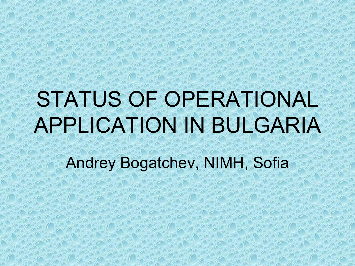## STATUS OF OPERATIONAL APPLICATION IN BULGARIA

Andrey Bogatchev, NIMH, Sofia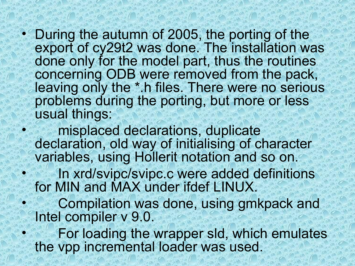- During the autumn of 2005, the porting of the export of cy29t2 was done. The installation was done only for the model part, thus the routines concerning ODB were removed from the pack, leaving only the \*.h files. There were no serious problems during the porting, but more or less usual things:
	- misplaced declarations, duplicate declaration, old way of initialising of character variables, using Hollerit notation and so on.
	- In xrd/svipc/svipc.c were added definitions for MIN and MAX under ifdef LINUX.
	- Compilation was done, using gmkpack and Intel compiler v 9.0.
	- For loading the wrapper sld, which emulates the vpp incremental loader was used.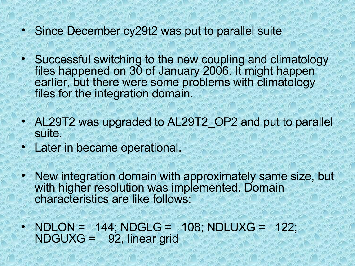- Since December cy29t2 was put to parallel suite
- Successful switching to the new coupling and climatology files happened on 30 of January 2006. It might happen earlier, but there were some problems with climatology files for the integration domain.
- AL29T2 was upgraded to AL29T2 OP2 and put to parallel suite.
- Later in became operational.
- New integration domain with approximately same size, but with higher resolution was implemented. Domain characteristics are like follows:
- NDLON = 144; NDGLG = 108; NDLUXG = 122; NDGUXG = 92, linear grid